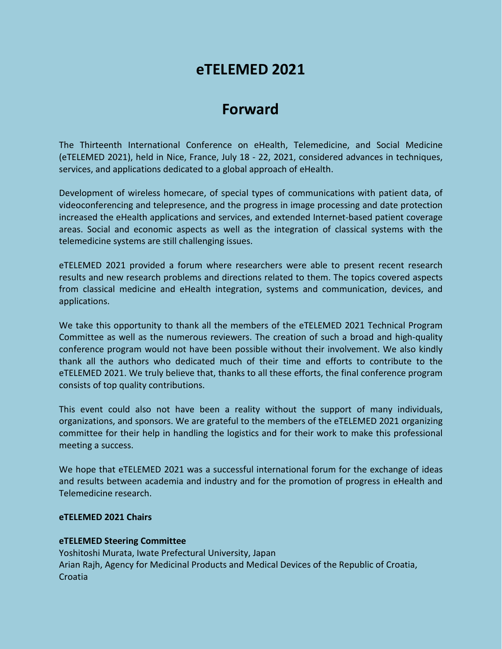# **eTELEMED 2021**

# **Forward**

The Thirteenth International Conference on eHealth, Telemedicine, and Social Medicine (eTELEMED 2021), held in Nice, France, July 18 - 22, 2021, considered advances in techniques, services, and applications dedicated to a global approach of eHealth.

Development of wireless homecare, of special types of communications with patient data, of videoconferencing and telepresence, and the progress in image processing and date protection increased the eHealth applications and services, and extended Internet-based patient coverage areas. Social and economic aspects as well as the integration of classical systems with the telemedicine systems are still challenging issues.

eTELEMED 2021 provided a forum where researchers were able to present recent research results and new research problems and directions related to them. The topics covered aspects from classical medicine and eHealth integration, systems and communication, devices, and applications.

We take this opportunity to thank all the members of the eTELEMED 2021 Technical Program Committee as well as the numerous reviewers. The creation of such a broad and high-quality conference program would not have been possible without their involvement. We also kindly thank all the authors who dedicated much of their time and efforts to contribute to the eTELEMED 2021. We truly believe that, thanks to all these efforts, the final conference program consists of top quality contributions.

This event could also not have been a reality without the support of many individuals, organizations, and sponsors. We are grateful to the members of the eTELEMED 2021 organizing committee for their help in handling the logistics and for their work to make this professional meeting a success.

We hope that eTELEMED 2021 was a successful international forum for the exchange of ideas and results between academia and industry and for the promotion of progress in eHealth and Telemedicine research.

#### **eTELEMED 2021 Chairs**

### **eTELEMED Steering Committee**

Yoshitoshi Murata, Iwate Prefectural University, Japan Arian Rajh, Agency for Medicinal Products and Medical Devices of the Republic of Croatia, Croatia